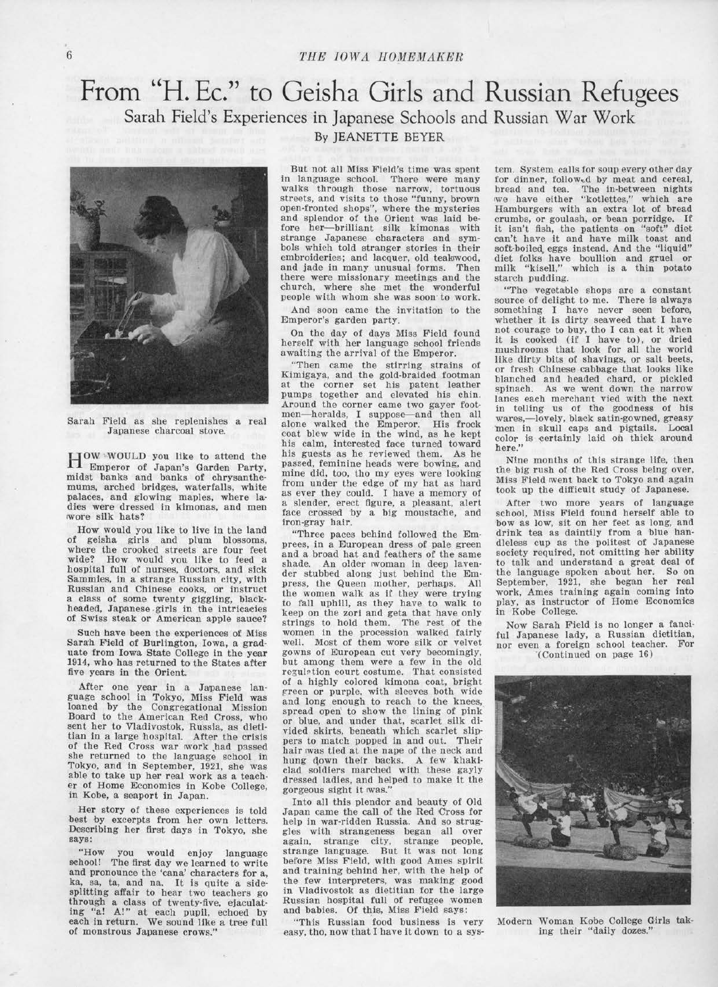## 6 THE IOWA HOMEMAKER

## **From ''H. Ec." to Geisha Girls and Russian Refugees**  Sarah Field's Experiences in Japanese Schools and Russian War Work



Sarah Field as she replenishes a real Japanese charcoal stove.

HOW 'WOULD you like to attend the Emperor of Japan's Garden Party, midst banks and banks of chrysanthemums, arched bridges, waterfalls, white palaces, and glowing maples, where ladies were dressed in kimonas, and men wore silk hats?

How would you like to live in the land of geisha girls and plum blossoms, where the crooked streets are four feet wide? How would you like to feed a hospital full of nurses, doctors, and sick Sammies, in a strange Russian city, with Russian and Chinese cooks, or instruct a class of some twenty giggling, blackheaded, Japanese .girls in the intricacies of Swiss steak or American apple sauce?

Such have been the experiences of Miss Sarah Field of Burlington, Iowa, a graduate from Iowa State College in the year 1914, who has returned to the States after five years in the Orient.

After one year in a Japanese lan-guage school in Tokyo, Miss Field was loaned by the Congregational Mission Board to the American Red Cross, who sent her to Vladivostok, Russia, as dietitian in a large hospital. After the crisis of the Red Cross war work had passed she returned to the language school in Tokyo, and in September, 1921, she was able to take up her real work as a teachable to take up her real work as a teacher of Home Economics in Kobe College, in Kobe, a seaport in Japan.

Her story of these experiences is told best by excerpts from her own letters. Describing her first days in Tokyo, she says:

"How you would enjoy language oohool! The first day we learned to write and pronounce the 'cana' characters for a,<br>ka, sa, ta, and na. It is quite a sidesa, ta, and na. It is quite a sidesplitting affair to hear two teachers go through a class of twenty-five, ejaculating "a! A!" at each pupil, echoed by each in return. We sound like a tree full of monstrous Japanese crows."

### By JEANETTE BEYER

But not all Miss Field's time was spent in language school. There were many walks through those narrow, tortuous streets, and visits to those "funny, brown open-fronted shops", where the mysteries and splendor of the Orient was laid before her-brilliant silk kimonas with strange Japanese characters and symbols which told stranger stories in their embroideries; and lacquer, old teakwood, and jade in many unusual forms. Then there were missionary meetings and the -church, where she met the wonderful people with whom she was soon· to work.

And soon came the invitation to the Emperor's garden party.

On the day of days Miss Field found herself with her language school friends awaiting the arrival of the Emperor.

"Then came the stirring strains of Kimigaya, and the gold-braided footman at the corner set his patent leather pumps together and elevated his chin. Around the corner came two gayer footmen-heralds, I suppose--and then all alone walked the Emperor. His frock<br>coat blew wide in the wind, as he kept his calm, interested face turned toward his guests as he reviewed them. As he passed, feminine heads were bowing, and mine did, too, tho my eyes were looking from under the edge of my hat as hard as ever they could. I have a memory of a slender, erect figure, a pleasant, alert face crossed by a big moustache, and iron-gray hair.

"Three paces behind followed the Emprees, in a European dress of pale green shade. An older woman in deep laven-<br>der stubbed along just behind the Empress, the Queen mother, perhaps. All the women walk as if they were trying to fall uphill, as they have to walk to keep on the zori and geta that have only strings to hold them. The rest of the women in the procession walked fairly well. Most of them wore silk or velvet gowns of European cut very becomingly, but among them were a few in the old regulation court costume. That consisted of a highly colored kimona coat, bright green or purple. with sleeves both wide and long enough to reach to the knees, spread open to show the lining of pink or blue, and under that, scarlet silk divided skirts, beneath which scarlet slippers to match popped in and out. Their hair was tied at the nape of the neck and hung qown their backs. A few khakiclad soldiers marched with these gayly dressed ladies, and helped to make it the gorgeous sight it was."

Into all this plendor and beauty of Old Japan came the call of the Red Cross for<br>help in war-ridden Russia. And so struggles with strangeness began all over again, strange city, strange people, strange language. But it was not long before Miss Field, with good Ames spirit and training behind her, with the help of the few interpreters, was making good in Vladivostok as dietitian for the large Russian hospital full of refugee women and babies. Of this, Miss Field says:

"This Russian food business is very easy, tho, now that I have it down to a system. System calls for soup every other day for dinner, followed by meat and cereal, bread and tea. The in-between nights 1we have either "kotlettes," which are Hamburgers with an extra lot of bread crumbs, or goulash, or bean porridge. If it isn't fish, the patients on "soft" diet can't have it and have milk toast and soft-boiled, eggs instead. And the "liquid" diet folks have boullion and gruel or milk "kisell," which is a thin potato starch pudding.

"The vegetable shops are a constant source of delight to me. There is always something I have never seen before, whether it is dirty seaweed that I have not courage to buy, tho I can eat it when it is cooked (if I have to), or dried mushrooms that look for all the world like dirty bits of shavings, or salt beets, or fresh Chinese cabbage that looks like blanched and headed chard, or pickled<br>spinach. As we went down the narrow As we went down the narrow lanes each merchant vied with the next in telling us of the goodness of his wares,-lovely, black satin-gowned, greasy men in skull caps and pigtails. Local color is certainly laid on thick around here."

Nine months of this strange life, then the big rush of the Red Cross being over, Miss Field went back to Tokyo and again took up the difficult study of Japanese.

After two more years of language school, Miss Field found herself able to bow as low, sit on her feet as long, and drink tea as daintily from a blue handleless cup as the politest of Japanese society required, not omitting her ability to talk and understand a great deal of September, 1921, she began her real work, Ames training again coming into play, as instructor of Home Economics in Kobe College.

Now Sarah Field is no longer a fanciful Japanese lady, a Russian dietitian, nor even a foreign school teacher. For "(Continued on page 16)



Modern Woman Kobe College Girls taking their "daily dozes."